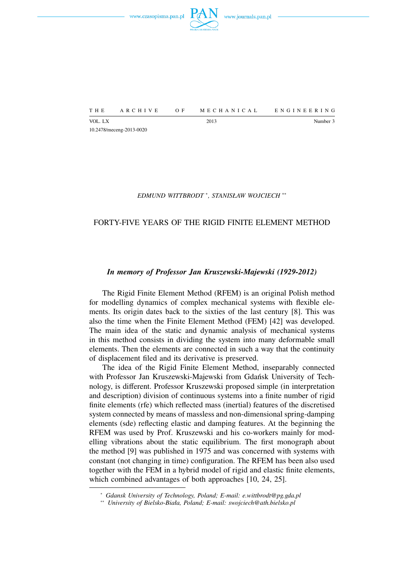



VOL. LX Number 3 10.2478/meceng-2013-0020

### *EDMUND WITTBRODT* <sup>∗</sup> *, STANISŁAW WOJCIECH* ∗∗

# FORTY-FIVE YEARS OF THE RIGID FINITE ELEMENT METHOD

## *In memory of Professor Jan Kruszewski-Majewski (1929-2012)*

The Rigid Finite Element Method (RFEM) is an original Polish method for modelling dynamics of complex mechanical systems with flexible elements. Its origin dates back to the sixties of the last century [8]. This was also the time when the Finite Element Method (FEM) [42] was developed. The main idea of the static and dynamic analysis of mechanical systems in this method consists in dividing the system into many deformable small elements. Then the elements are connected in such a way that the continuity of displacement filed and its derivative is preserved.

The idea of the Rigid Finite Element Method, inseparably connected with Professor Jan Kruszewski-Majewski from Gdańsk University of Technology, is different. Professor Kruszewski proposed simple (in interpretation and description) division of continuous systems into a finite number of rigid finite elements (rfe) which reflected mass (inertial) features of the discretised system connected by means of massless and non-dimensional spring-damping elements (sde) reflecting elastic and damping features. At the beginning the RFEM was used by Prof. Kruszewski and his co-workers mainly for modelling vibrations about the static equilibrium. The first monograph about the method [9] was published in 1975 and was concerned with systems with constant (not changing in time) configuration. The RFEM has been also used together with the FEM in a hybrid model of rigid and elastic finite elements, which combined advantages of both approaches [10, 24, 25].

<sup>∗</sup> *Gdansk University of Technology, Poland; E-mail: e.wittbrodt@pg.gda.pl*

<sup>∗∗</sup> *University of Bielsko-Biała, Poland; E-mail: swojciech@ath.bielsko.pl*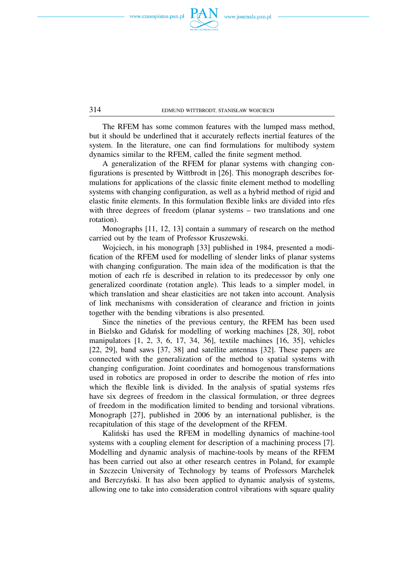

The RFEM has some common features with the lumped mass method, but it should be underlined that it accurately reflects inertial features of the system. In the literature, one can find formulations for multibody system dynamics similar to the RFEM, called the finite segment method.

A generalization of the RFEM for planar systems with changing configurations is presented by Wittbrodt in [26]. This monograph describes formulations for applications of the classic finite element method to modelling systems with changing configuration, as well as a hybrid method of rigid and elastic finite elements. In this formulation flexible links are divided into rfes with three degrees of freedom (planar systems – two translations and one rotation).

Monographs [11, 12, 13] contain a summary of research on the method carried out by the team of Professor Kruszewski.

Wojciech, in his monograph [33] published in 1984, presented a modification of the RFEM used for modelling of slender links of planar systems with changing configuration. The main idea of the modification is that the motion of each rfe is described in relation to its predecessor by only one generalized coordinate (rotation angle). This leads to a simpler model, in which translation and shear elasticities are not taken into account. Analysis of link mechanisms with consideration of clearance and friction in joints together with the bending vibrations is also presented.

Since the nineties of the previous century, the RFEM has been used in Bielsko and Gdańsk for modelling of working machines [28, 30], robot manipulators [1, 2, 3, 6, 17, 34, 36], textile machines [16, 35], vehicles [22, 29], band saws [37, 38] and satellite antennas [32]. These papers are connected with the generalization of the method to spatial systems with changing configuration. Joint coordinates and homogenous transformations used in robotics are proposed in order to describe the motion of rfes into which the flexible link is divided. In the analysis of spatial systems rfes have six degrees of freedom in the classical formulation, or three degrees of freedom in the modification limited to bending and torsional vibrations. Monograph [27], published in 2006 by an international publisher, is the recapitulation of this stage of the development of the RFEM.

Kaliński has used the RFEM in modelling dynamics of machine-tool systems with a coupling element for description of a machining process [7]. Modelling and dynamic analysis of machine-tools by means of the RFEM has been carried out also at other research centres in Poland, for example in Szczecin University of Technology by teams of Professors Marchelek and Berczyński. It has also been applied to dynamic analysis of systems, allowing one to take into consideration control vibrations with square quality

314 EDMUND WITTBRODT, STANISŁAW WOJCIECH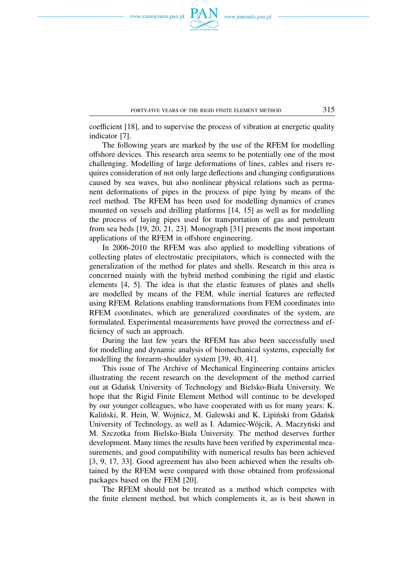

coefficient [18], and to supervise the process of vibration at energetic quality indicator [7].

The following years are marked by the use of the RFEM for modelling offshore devices. This research area seems to be potentially one of the most challenging. Modelling of large deformations of lines, cables and risers requires consideration of not only large deflections and changing configurations caused by sea waves, but also nonlinear physical relations such as permanent deformations of pipes in the process of pipe lying by means of the reel method. The RFEM has been used for modelling dynamics of cranes mounted on vessels and drilling platforms [14, 15] as well as for modelling the process of laying pipes used for transportation of gas and petroleum from sea beds [19, 20, 21, 23]. Monograph [31] presents the most important applications of the RFEM in offshore engineering.

In 2006-2010 the RFEM was also applied to modelling vibrations of collecting plates of electrostatic precipitators, which is connected with the generalization of the method for plates and shells. Research in this area is concerned mainly with the hybrid method combining the rigid and elastic elements [4, 5]. The idea is that the elastic features of plates and shells are modelled by means of the FEM, while inertial features are reflected using RFEM. Relations enabling transformations from FEM coordinates into RFEM coordinates, which are generalized coordinates of the system, are formulated. Experimental measurements have proved the correctness and efficiency of such an approach.

During the last few years the RFEM has also been successfully used for modelling and dynamic analysis of biomechanical systems, especially for modelling the forearm-shoulder system [39, 40, 41].

This issue of The Archive of Mechanical Engineering contains articles illustrating the recent research on the development of the method carried out at Gdańsk University of Technology and Bielsko-Biała University. We hope that the Rigid Finite Element Method will continue to be developed by our younger colleagues, who have cooperated with us for many years: K. Kaliński, R. Hein, W. Wojnicz, M. Galewski and K. Lipiński from Gdańsk University of Technology, as well as I. Adamiec-Wójcik, A. Maczyński and M. Szczotka from Bielsko-Biała University. The method deserves further development. Many times the results have been verified by experimental measurements, and good compatibility with numerical results has been achieved [3, 9, 17, 33]. Good agreement has also been achieved when the results obtained by the RFEM were compared with those obtained from professional packages based on the FEM [20].

The RFEM should not be treated as a method which competes with the finite element method, but which complements it, as is best shown in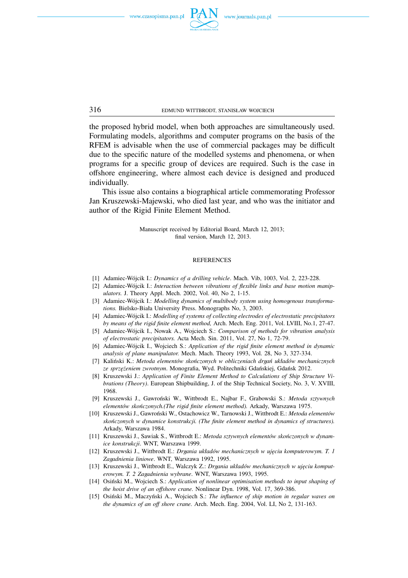

the proposed hybrid model, when both approaches are simultaneously used. Formulating models, algorithms and computer programs on the basis of the RFEM is advisable when the use of commercial packages may be difficult due to the specific nature of the modelled systems and phenomena, or when programs for a specific group of devices are required. Such is the case in offshore engineering, where almost each device is designed and produced

This issue also contains a biographical article commemorating Professor Jan Kruszewski-Majewski, who died last year, and who was the initiator and author of the Rigid Finite Element Method.

> Manuscript received by Editorial Board, March 12, 2013; final version, March 12, 2013.

#### **REFERENCES**

- [1] Adamiec-Wójcik I.: *Dynamics of a drilling vehicle*. Mach. Vib, 1003, Vol. 2, 223-228.
- [2] Adamiec-Wójcik I.: *Interaction between vibrations of flexible links and base motion manipulators.* J. Theory Appl. Mech. 2002, Vol. 40, No 2, 1-15.
- [3] Adamiec-Wójcik I.: *Modelling dynamics of multibody system using homogenous transformations.* Bielsko-Biała University Press. Monographs No, 3, 2003.
- [4] Adamiec-Wójcik I.: *Modelling of systems of collecting electrodes of electrostatic precipitators by means of the rigid finite element method,* Arch. Mech. Eng. 2011, Vol. LVIII, No.1, 27-47.
- [5] Adamiec-Wójcik I., Nowak A., Wojciech S.: *Comparison of methods for vibration analysis of electrostatic precipitators.* Acta Mech. Sin. 2011, Vol. 27, No 1, 72-79.
- [6] Adamiec-Wójcik I., Wojciech S.: *Application of the rigid finite element method in dynamic analysis of plane manipulator.* Mech. Mach. Theory 1993, Vol. 28, No 3, 327-334.
- [7] Kaliński K.: *Metoda elementów skończonych w obliczeniach drgań układów mechanicznych ze sprzężeniem zwrotnym*. Monografia, Wyd. Politechniki Gdańskiej, Gdańsk 2012.
- [8] Kruszewski J.: *Application of Finite Element Method to Calculations of Ship Structure Vibrations (Theory)*. European Shipbuilding, J. of the Ship Technical Society, No. 3, V. XVIII, 1968.
- [9] Kruszewski J., Gawroński W., Wittbrodt E., Najbar F., Grabowski S.: *Metoda sztywnych elementów skończonych.(The rigid finite element method).* Arkady, Warszawa 1975.
- [10] Kruszewski J., Gawroński W., Ostachowicz W., Tarnowski J., Wittbrodt E.: *Metoda elementów skończonych w dynamice konstrukcji. (The finite element method in dynamics of structures).* Arkady, Warszawa 1984.
- [11] Kruszewski J., Sawiak S., Wittbrodt E.: *Metoda sztywnych elementów skończonych w dynamice konstrukcji*. WNT, Warszawa 1999.
- [12] Kruszewski J., Wittbrodt E.: *Drgania układów mechanicznych w ujęciu komputerowym. T. 1 Zagadnienia liniowe*. WNT, Warszawa 1992, 1995.
- [13] Kruszewski J., Wittbrodt E., Walczyk Z.: *Drgania układów mechanicznych w ujęciu komputerowym. T. 2 Zagadnienia wybrane*. WNT, Warszawa 1993, 1995.
- [14] Osiński M., Wojciech S.: *Application of nonlinear optimisation methods to input shaping of the hoist drive of an offshore crane.* Nonlinear Dyn. 1998, Vol. 17, 369-386.
- [15] Osiński M., Maczyński A., Wojciech S.: *The influence of ship motion in regular waves on the dynamics of an off shore crane.* Arch. Mech. Eng. 2004, Vol. LI, No 2, 131-163.

316 EDMUND WITTBRODT, STANISŁAW WOJCIECH

individually.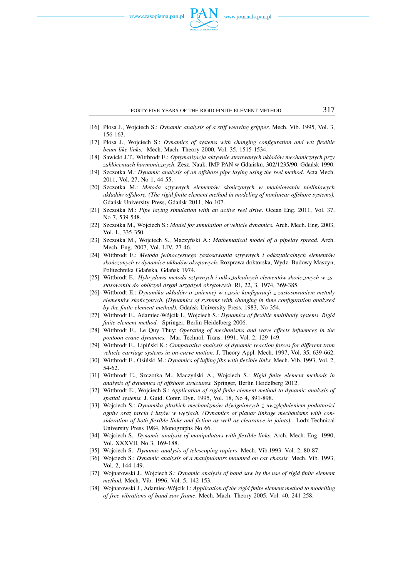

- [16] Płosa J., Wojciech S.: *Dynamic analysis of a stiff weaving gripper*. Mech. Vib. 1995, Vol. 3, 156-163.
- [17] Płosa J., Wojciech S.: *Dynamics of systems with changing configuration and wit flexible beam-like links.* Mech. Mach. Theory 2000, Vol. 35, 1515-1534.
- [18] Sawicki J.T., Wittbrodt E.: *Optymalizacja aktywnie sterowanych układów mechanicznych przy zakłóceniach harmonicznych*. Zesz. Nauk. IMP PAN w Gdańsku, 302/1235/90. Gdańsk 1990.
- [19] Szczotka M.: *Dynamic analysis of an offshore pipe laying using the reel method*. Acta Mech. 2011, Vol. 27, No 1, 44-55.
- [20] Szczotka M.: *Metoda sztywnych elementów skończonych w modelowaniu nieliniowych układów offshore. (The rigid finite element method in modeling of nonlinear offshore systems).* Gdańsk University Press, Gdańsk 2011, No 107.
- [21] Szczotka M.: *Pipe laying simulation with an active reel drive*. Ocean Eng. 2011, Vol. 37, No 7, 539-548.
- [22] Szczotka M., Wojciech S.: *Model for simulation of vehicle dynamics.* Arch. Mech. Eng. 2003, Vol. L, 335-350.
- [23] Szczotka M., Wojciech S., Maczyński A.: *Mathematical model of a pipelay spread.* Arch. Mech. Eng. 2007, Vol. LIV, 27-46.
- [24] Wittbrodt E.: *Metoda jednoczesnego zastosowania sztywnych i odkształcalnych elementów skończonych w dynamice układów okrętowych*. Rozprawa doktorska, Wydz. Budowy Maszyn, Politechnika Gdańska, Gdańsk 1974.
- [25] Wittbrodt E.: *Hybrydowa metoda sztywnych i odkształcalnych elementów skończonych w zastosowaniu do obliczeń drgań urządzeń okrętowych*. RI, 22, 3, 1974, 369-385.
- [26] Wittbrodt E.: *Dynamika układów o zmiennej w czasie konfiguracji z zastosowaniem metody elementów skończonych. (Dynamics of systems with changing in time configuration analysed by the finite element method).* Gdańsk University Press, 1983, No 354.
- [27] Wittbrodt E., Adamiec-Wójcik I., Wojciech S.: *Dynamics of flexible multibody systems. Rigid finite element method.* Springer, Berlin Heidelberg 2006.
- [28] Wittbrodt E., Le Quy Thuy: *Operating of mechanisms and wave effects influences in the pontoon crane dynamics.* Mar. Technol. Trans. 1991, Vol. 2, 129-149.
- [29] Wittbrodt E., Lipiński K.: *Comparative analysis of dynamic reaction forces for different tram vehicle carriage systems in on-curve motion.* J. Theory Appl. Mech. 1997, Vol. 35, 639-662.
- [30] Wittbrodt E., Osiński M.: *Dynamics of luffing jibs with flexible links.* Mech. Vib. 1993, Vol. 2, 54-62.
- [31] Wittbrodt E., Szczotka M., Maczyński A., Wojciech S.: *Rigid finite element methods in analysis of dynamics of offshore structures.* Springer, Berlin Heidelberg 2012.
- [32] Wittbrodt E., Wojciech S.: *Application of rigid finite element method to dynamic analysis of spatial systems.* J. Guid. Contr. Dyn. 1995, Vol. 18, No 4, 891-898.
- [33] Wojciech S.: *Dynamika płaskich mechanizmów dźwigniowych z uwzględnieniem podatności ogniw oraz tarcia i luzów w węzłach. (Dynamics of planar linkage mechanisms with consideration of both flexible links and fiction as well as clearance in joints).* Lodz Technical University Press 1984, Monographs No 66.
- [34] Wojciech S.: *Dynamic analysis of manipulators with flexible links*. Arch. Mech. Eng. 1990, Vol. XXXVII, No 3, 169-188.
- [35] Wojciech S.: *Dynamic analysis of telescoping rapiers*. Mech. Vib.1993. Vol. 2, 80-87.
- [36] Wojciech S.: *Dynamic analysis of a manipulators mounted on car chassis.* Mech. Vib. 1993, Vol. 2, 144-149.
- [37] Wojnarowski J., Wojciech S.: *Dynamic analysis of band saw by the use of rigid finite element method.* Mech. Vib. 1996, Vol. 5, 142-153.
- [38] Wojnarowski J., Adamiec-Wójcik I.: *Application of the rigid finite element method to modelling of free vibrations of band saw frame*. Mech. Mach. Theory 2005, Vol. 40, 241-258.